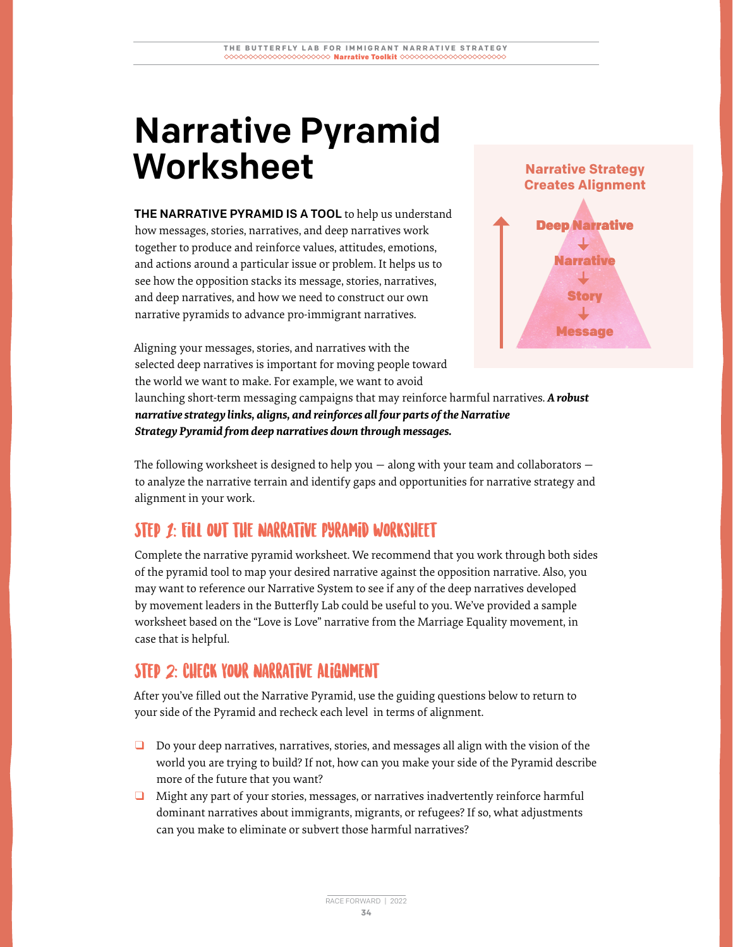# Narrative Pyramid Worksheet

THE NARRATIVE PYRAMID IS A TOOL to help us understand how messages, stories, narratives, and deep narratives work together to produce and reinforce values, attitudes, emotions, and actions around a particular issue or problem. It helps us to see how the opposition stacks its message, stories, narratives, and deep narratives, and how we need to construct our own narrative pyramids to advance pro-immigrant narratives.



Aligning your messages, stories, and narratives with the selected deep narratives is important for moving people toward the world we want to make. For example, we want to avoid

launching short-term messaging campaigns that may reinforce harmful narratives. *A robust narrative strategy links, aligns, and reinforces all four parts of the Narrative Strategy Pyramid from deep narratives down through messages.* 

The following worksheet is designed to help you — along with your team and collaborators to analyze the narrative terrain and identify gaps and opportunities for narrative strategy and alignment in your work.

#### STEP 1: FILL OUT THE NARRATIVE PYRAMID WORKSHEET

Complete the narrative pyramid worksheet. We recommend that you work through both sides of the pyramid tool to map your desired narrative against the opposition narrative. Also, you may want to reference our Narrative System to see if any of the deep narratives developed by movement leaders in the Butterfly Lab could be useful to you. We've provided a sample worksheet based on the "Love is Love" narrative from the Marriage Equality movement, in case that is helpful.

#### Step 2: Check Your Narrative Alignment

After you've filled out the Narrative Pyramid, use the guiding questions below to return to your side of the Pyramid and recheck each level in terms of alignment.

- ❑ Do your deep narratives, narratives, stories, and messages all align with the vision of the world you are trying to build? If not, how can you make your side of the Pyramid describe more of the future that you want?
- ❑ Might any part of your stories, messages, or narratives inadvertently reinforce harmful dominant narratives about immigrants, migrants, or refugees? If so, what adjustments can you make to eliminate or subvert those harmful narratives?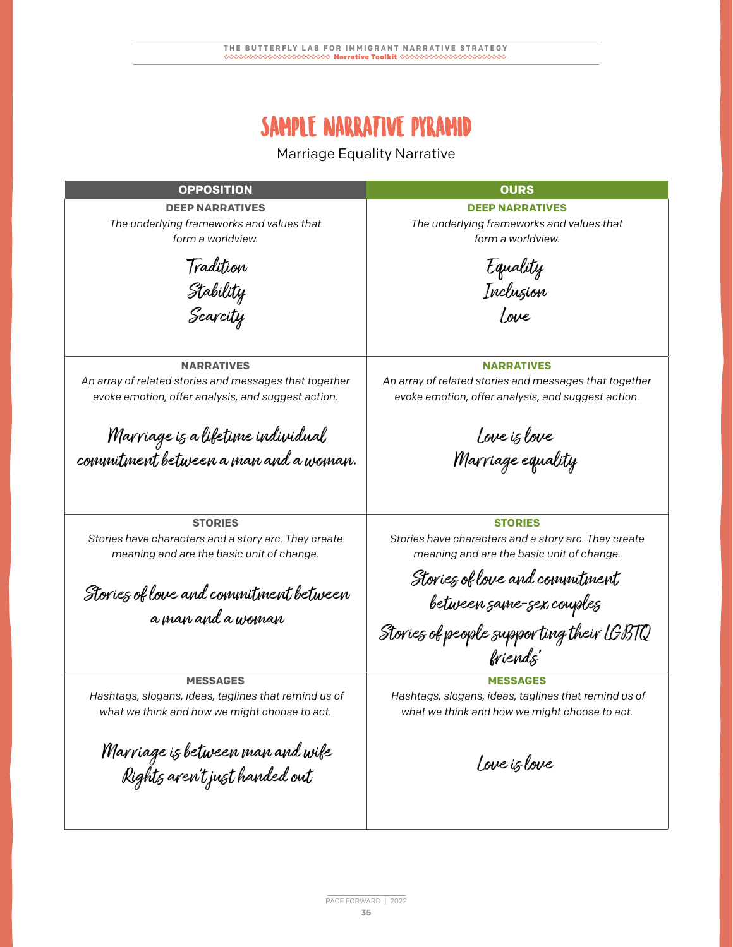### SAMPLE NARRATIVE PYRAMID

Marriage Equality Narrative

**OPPOSITION OURS DEEP NARRATIVES** *The underlying frameworks and values that form a worldview.* **DEEP NARRATIVES** *The underlying frameworks and values that form a worldview.* **NARRATIVES** *An array of related stories and messages that together evoke emotion, offer analysis, and suggest action.* **NARRATIVES** *An array of related stories and messages that together evoke emotion, offer analysis, and suggest action.* **STORIES** *Stories have characters and a story arc. They create meaning and are the basic unit of change.* **STORIES** *Stories have characters and a story arc. They create meaning and are the basic unit of change.* **MESSAGES** *Hashtags, slogans, ideas, taglines that remind us of what we think and how we might choose to act.* **MESSAGES** *Hashtags, slogans, ideas, taglines that remind us of what we think and how we might choose to act.* Tradition Stability Scarcity Marriage is a lifetime individual commitment between a man and a woman. Stories of love and commitment between a man and a woman Marriage is between man and wife Rights aren't just handed out Equality Inclusion Love Love is love Marriage equality Stories of love and commitment between same-sex couples Stories of people suppor ting their LGBTQ friends' Love is love